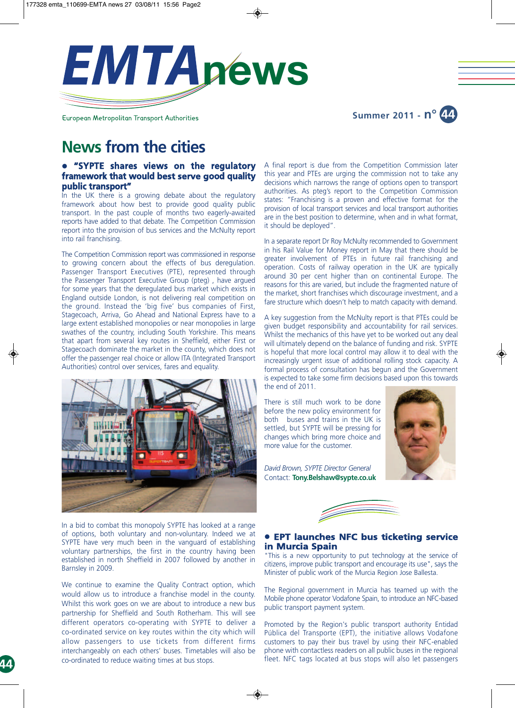

European Metropolitan Transport Authorities

**Summer 2011 - n° 44**

# **News from the cities**

## $\bullet$  **"SYPTE shares views on the regulatory framework that would best serve good quality public transport"**

In the UK there is a growing debate about the regulatory framework about how best to provide good quality public transport. In the past couple of months two eagerly-awaited reports have added to that debate. The Competition Commission report into the provision of bus services and the McNulty report into rail franchising.

The Competition Commission report was commissioned in response to growing concern about the effects of bus deregulation. Passenger Transport Executives (PTE), represented through the Passenger Transport Executive Group (pteg) , have argued for some years that the deregulated bus market which exists in England outside London, is not delivering real competition on the ground. Instead the 'big five' bus companies of First, Stagecoach, Arriva, Go Ahead and National Express have to a large extent established monopolies or near monopolies in large swathes of the country, including South Yorkshire. This means that apart from several key routes in Sheffield, either First or Stagecoach dominate the market in the county, which does not offer the passenger real choice or allow ITA (Integrated Transport Authorities) control over services, fares and equality.



In a bid to combat this monopoly SYPTE has looked at a range of options, both voluntary and non-voluntary. Indeed we at SYPTE have very much been in the vanguard of establishing voluntary partnerships, the first in the country having been established in north Sheffield in 2007 followed by another in Barnsley in 2009.

We continue to examine the Quality Contract option, which would allow us to introduce a franchise model in the county. Whilst this work goes on we are about to introduce a new bus partnership for Sheffield and South Rotherham. This will see different operators co-operating with SYPTE to deliver a co-ordinated service on key routes within the city which will allow passengers to use tickets from different firms interchangeably on each others' buses. Timetables will also be co-ordinated to reduce waiting times at bus stops.

A final report is due from the Competition Commission later this year and PTEs are urging the commission not to take any decisions which narrows the range of options open to transport authorities. As pteg's report to the Competition Commission states: "Franchising is a proven and effective format for the provision of local transport services and local transport authorities are in the best position to determine, when and in what format, it should be deployed".

In a separate report Dr Roy McNulty recommended to Government in his Rail Value for Money report in May that there should be greater involvement of PTEs in future rail franchising and operation. Costs of railway operation in the UK are typically around 30 per cent higher than on continental Europe. The reasons for this are varied, but include the fragmented nature of the market, short franchises which discourage investment, and a fare structure which doesn't help to match capacity with demand.

A key suggestion from the McNulty report is that PTEs could be given budget responsibility and accountability for rail services. Whilst the mechanics of this have yet to be worked out any deal will ultimately depend on the balance of funding and risk. SYPTE is hopeful that more local control may allow it to deal with the increasingly urgent issue of additional rolling stock capacity. A formal process of consultation has begun and the Government is expected to take some firm decisions based upon this towards the end of 2011.

There is still much work to be done before the new policy environment for both buses and trains in the UK is settled, but SYPTE will be pressing for changes which bring more choice and more value for the customer.



*David Brown, SYPTE Director General* Contact: **Tony.Belshaw@sypte.co.uk**



### **• EPT launches NFC bus ticketing service in Murcia Spain**

"This is a new opportunity to put technology at the service of citizens, improve public transport and encourage its use", says the Minister of public work of the Murcia Region Jose Ballesta.

The Regional government in Murcia has teamed up with the Mobile phone operator Vodafone Spain, to introduce an NFC-based public transport payment system.

Promoted by the Region's public transport authority Entidad Pública del Transporte (EPT), the initiative allows Vodafone customers to pay their bus travel by using their NFC-enabled phone with contactless readers on all public buses in the regional fleet. NFC tags located at bus stops will also let passengers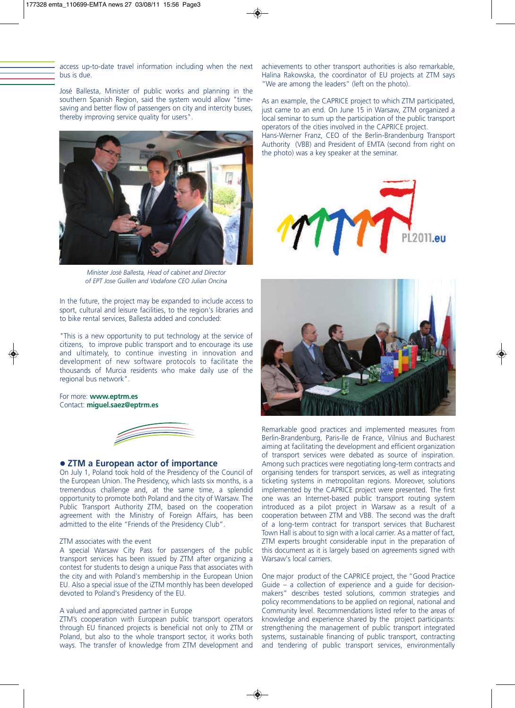access up-to-date travel information including when the next bus is due.

José Ballesta, Minister of public works and planning in the southern Spanish Region, said the system would allow "timesaving and better flow of passengers on city and intercity buses, thereby improving service quality for users".



*Minister José Ballesta, Head of cabinet and Director of EPT Jose Guillen and Vodafone CEO Julian Oncina*

In the future, the project may be expanded to include access to sport, cultural and leisure facilities, to the region's libraries and to bike rental services, Ballesta added and concluded:

"This is a new opportunity to put technology at the service of citizens, to improve public transport and to encourage its use and ultimately, to continue investing in innovation and development of new software protocols to facilitate the thousands of Murcia residents who make daily use of the regional bus network".

For more: **www.eptrm.es** Contact: **miguel.saez@eptrm.es**



#### l **ZTM a European actor of importance**

On July 1, Poland took hold of the Presidency of the Council of the European Union. The Presidency, which lasts six months, is a tremendous challenge and, at the same time, a splendid opportunity to promote both Poland and the city of Warsaw. The Public Transport Authority ZTM, based on the cooperation agreement with the Ministry of Foreign Affairs, has been admitted to the elite "Friends of the Presidency Club".

#### ZTM associates with the event

A special Warsaw City Pass for passengers of the public transport services has been issued by ZTM after organizing a contest for students to design a unique Pass that associates with the city and with Poland's membership in the European Union EU. Also a special issue of the iZTM monthly has been developed devoted to Poland's Presidency of the EU.

#### A valued and appreciated partner in Europe

ZTM's cooperation with European public transport operators through EU financed projects is beneficial not only to ZTM or Poland, but also to the whole transport sector, it works both ways. The transfer of knowledge from ZTM development and

achievements to other transport authorities is also remarkable, Halina Rakowska, the coordinator of EU projects at ZTM says "We are among the leaders" (left on the photo).

As an example, the CAPRICE project to which ZTM participated, just came to an end. On June 15 in Warsaw, ZTM organized a local seminar to sum up the participation of the public transport operators of the cities involved in the CAPRICE project. Hans-Werner Franz, CEO of the Berlin-Brandenburg Transport Authority (VBB) and President of EMTA (second from right on the photo) was a key speaker at the seminar.





Remarkable good practices and implemented measures from Berlin-Brandenburg, Paris-Ile de France, Vilnius and Bucharest aiming at facilitating the development and efficient organization of transport services were debated as source of inspiration. Among such practices were negotiating long-term contracts and organising tenders for transport services, as well as integrating ticketing systems in metropolitan regions. Moreover, solutions implemented by the CAPRICE project were presented. The first one was an Internet-based public transport routing system introduced as a pilot project in Warsaw as a result of a cooperation between ZTM and VBB. The second was the draft of a long-term contract for transport services that Bucharest Town Hall is about to sign with a local carrier. As a matter of fact, ZTM experts brought considerable input in the preparation of this document as it is largely based on agreements signed with Warsaw's local carriers.

One major product of the CAPRICE project, the "Good Practice Guide – a collection of experience and a guide for decisionmakers" describes tested solutions, common strategies and policy recommendations to be applied on regional, national and Community level. Recommendations listed refer to the areas of knowledge and experience shared by the project participants: strengthening the management of public transport integrated systems, sustainable financing of public transport, contracting and tendering of public transport services, environmentally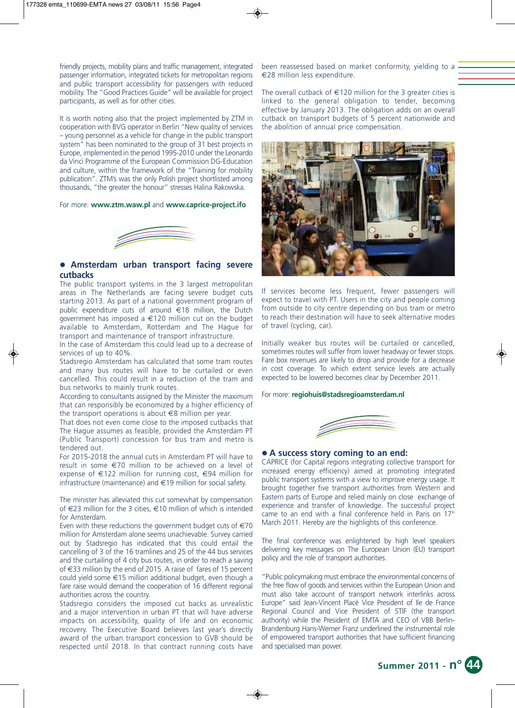friendly projects, mobility plans and traffic management, integrated passenger information, integrated tickets for metropolitan regions and public transport accessibility for passengers with reduced mobility. The "Good Practices Guide" will be available for project participants, as well as for other cities.

It is worth noting also that the project implemented by ZTM in cooperation with BVG operator in Berlin "New quality of services – young personnel as a vehicle for change in the public transport system" has been nominated to the group of 31 best projects in Europe, implemented in the period 1995-2010 under the Leonardo da Vinci Programme of the European Commission DG-Education and culture, within the framework of the "Training for mobility publication". ZTM's was the only Polish project shortlisted among thousands, "the greater the honour" stresses Halina Rakowska.

For more: **www.ztm.waw.pl** and **www.caprice-project.ifo**



#### l **Amsterdam urban transport facing severe cutbacks**

The public transport systems in the 3 largest metropolitan areas in The Netherlands are facing severe budget cuts starting 2013. As part of a national government program of public expenditure cuts of around €18 million, the Dutch government has imposed a €120 million cut on the budget available to Amsterdam, Rotterdam and The Hague for transport and maintenance of transport infrastructure.

In the case of Amsterdam this could lead up to a decrease of services of up to 40%.

Stadsregio Amsterdam has calculated that some tram routes and many bus routes will have to be curtailed or even cancelled. This could result in a reduction of the tram and bus networks to mainly trunk routes.

According to consultants assigned by the Minister the maximum that can responsibly be economized by a higher efficiency of the transport operations is about €8 million per year.

That does not even come close to the imposed cutbacks that The Hague assumes as feasible, provided the Amsterdam PT (Public Transport) concession for bus tram and metro is tendered out.

For 2015-2018 the annual cuts in Amsterdam PT will have to result in some €70 million to be achieved on a level of expense of €122 million for running cost, €94 million for infrastructure (maintenance) and €19 million for social safety.

The minister has alleviated this cut somewhat by compensation of €23 million for the 3 cities, €10 million of which is intended for Amsterdam.

Even with these reductions the government budget cuts of  $\in 70$ million for Amsterdam alone seems unachievable. Survey carried out by Stadsregio has indicated that this could entail the cancelling of 3 of the 16 tramlines and 25 of the 44 bus services and the curtailing of 4 city bus routes, in order to reach a saving of €33 million by the end of 2015. A raise of fares of 15 percent could yield some €15 million additional budget, even though a fare raise would demand the cooperation of 16 different regional authorities across the country.

Stadsregio considers the imposed cut backs as unrealistic and a major intervention in urban PT that will have adverse impacts on accessibility, quality of life and on economic recovery. The Executive Board believes last year's directly award of the urban transport concession to GVB should be respected until 2018. In that contract running costs have

been reassessed based on market conformity, yielding to a €28 million less expenditure.

The overall cutback of  $\in$ 120 million for the 3 greater cities is linked to the general obligation to tender, becoming effective by January 2013. The obligation adds on an overall cutback on transport budgets of 5 percent nationwide and the abolition of annual price compensation.



If services become less frequent, fewer passengers will expect to travel with PT. Users in the city and people coming from outside to city centre depending on bus tram or metro to reach their destination will have to seek alternative modes of travel (cycling, car).

Initially weaker bus routes will be curtailed or cancelled, sometimes routes will suffer from lower headway or fewer stops. Fare box revenues are likely to drop and provide for a decrease in cost coverage. To which extent service levels are actually expected to be lowered becomes clear by December 2011.

For more: **regiohuis@stadsregioamsterdam.nl**



## l **A success story coming to an end:**

CAPRICE (for Capital regions integrating collective transport for increased energy efficiency) aimed at promoting integrated public transport systems with a view to improve energy usage. It brought together five transport authorities from Western and Eastern parts of Europe and relied mainly on close exchange of experience and transfer of knowledge. The successful project came to an end with a final conference held in Paris on  $17<sup>th</sup>$ March 2011. Hereby are the highlights of this conference.

The final conference was enlightened by high level speakers delivering key messages on The European Union (EU) transport policy and the role of transport authorities.

"Public policymaking must embrace the environmental concerns of the free flow of goods and services within the European Union and must also take account of transport network interlinks across Europe" said Jean-Vincent Placé Vice President of Ile de France Regional Council and Vice President of STIF (the transport authority) while the President of EMTA and CEO of VBB Berlin-Brandenburg Hans-Werner Franz underlined the instrumental role of empowered transport authorities that have sufficient financing and specialised man power.